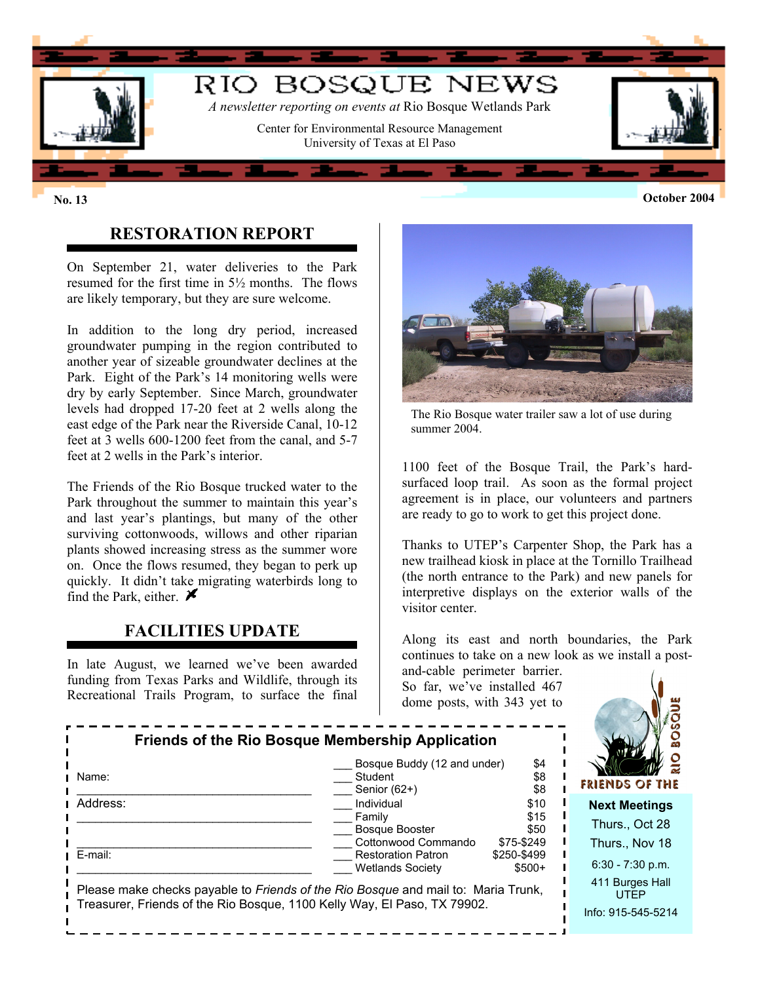

 $\blacksquare$ 

Ť.

 $\blacksquare$ П

#### **No. 13 October 2004**

# **RESTORATION REPORT**

On September 21, water deliveries to the Park resumed for the first time in 5½ months. The flows are likely temporary, but they are sure welcome.

In addition to the long dry period, increased groundwater pumping in the region contributed to another year of sizeable groundwater declines at the Park. Eight of the Park's 14 monitoring wells were dry by early September. Since March, groundwater levels had dropped 17-20 feet at 2 wells along the east edge of the Park near the Riverside Canal, 10-12 feet at 3 wells 600-1200 feet from the canal, and 5-7 feet at 2 wells in the Park's interior.

The Friends of the Rio Bosque trucked water to the Park throughout the summer to maintain this year's and last year's plantings, but many of the other surviving cottonwoods, willows and other riparian plants showed increasing stress as the summer wore on. Once the flows resumed, they began to perk up quickly. It didn't take migrating waterbirds long to find the Park, either.  $\blacktriangleright$ 

#### **FACILITIES UPDATE**

In late August, we learned we've been awarded funding from Texas Parks and Wildlife, through its Recreational Trails Program, to surface the final



The Rio Bosque water trailer saw a lot of use during summer 2004.

1100 feet of the Bosque Trail, the Park's hardsurfaced loop trail. As soon as the formal project agreement is in place, our volunteers and partners are ready to go to work to get this project done.

Thanks to UTEP's Carpenter Shop, the Park has a new trailhead kiosk in place at the Tornillo Trailhead (the north entrance to the Park) and new panels for interpretive displays on the exterior walls of the visitor center.

Along its east and north boundaries, the Park continues to take on a new look as we install a post-

 $\mathbf{I}$ 

and-cable perimeter barrier. So far, we've installed 467 dome posts, with 343 yet to



| Name:                                                                                                                                                                | Bosque Buddy (12 and under)<br>Student<br>Senior (62+) | \$4<br>\$8<br>\$8      | -C<br>$\overline{\mathbf{r}}$<br><b>FRIENDS OF THE</b> |
|----------------------------------------------------------------------------------------------------------------------------------------------------------------------|--------------------------------------------------------|------------------------|--------------------------------------------------------|
| Address:                                                                                                                                                             | Individual                                             | \$10                   | <b>Next Meetings</b>                                   |
|                                                                                                                                                                      | Family<br>Bosque Booster                               | \$15<br>\$50           | Thurs., Oct 28                                         |
| E-mail:                                                                                                                                                              | Cottonwood Commando<br><b>Restoration Patron</b>       | \$75-\$249             | Thurs., Nov 18                                         |
|                                                                                                                                                                      | <b>Wetlands Society</b>                                | \$250-\$499<br>$$500+$ | $6:30 - 7:30$ p.m.                                     |
| Please make checks payable to <i>Friends of the Rio Bosque</i> and mail to: Maria Trunk,<br>Treasurer, Friends of the Rio Bosque, 1100 Kelly Way, El Paso, TX 79902. |                                                        |                        | 411 Burges Hall<br><b>UTFP</b><br>Info: 915-545-5214   |
|                                                                                                                                                                      |                                                        |                        |                                                        |

**Friends of the Rio Bosque Membership Application**